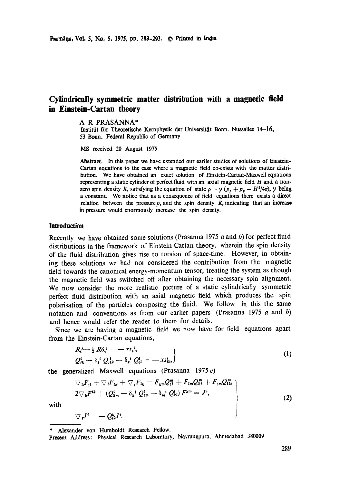# **Cylindrically symmetric matter distribution with a magnetic field in Einstein-Cartan theory**

#### A R PRASANNA\*

Institüt für Theoretische Kemphysik der Universität Bonn. Nussallee 14-16. **53 Bonn. Federal Republic of** Germany

MS received 20 August 1975

**Abstract. In this** paper we have extended our earlier studies of solutions of Einstein-Cartan equations to the case where a magnetic field co-exists with the matter distribution. We have obtained an exact solution of Einstein-Cartan-Maxwell equations representing a static cylinder of perfect fluid with an axial magnetic field  $H$  and a nonzero spin density K, satisfying the equation of state  $\rho = \gamma (p_r + p_s - H^2/4\pi)$ ,  $\gamma$  being a constant. We notice that as a consequence of field equations there exists a direct relation between the pressure  $p$ , and the spin density  $K$ , indicating that an increase in pressure would enormously increase the spin density.

#### **Introduction**

Recently we have obtained some solutions (Prasanna 1975  $a$  and  $b$ ) for perfect fluid distributions in the framework of Einstein-Cartan theory, wherein the spin density of the fluid distribution gives rise to torsion of space-time. However, in obtaining these solutions we had not considered the contribution from the magnetic field towards the canonical energy-momentum tensor, treating the system as though the magnetic field was switched off after obtaining the necessary spin alignment. We now consider the more realistic picture of a static cylindrically symmetric perfect fluid distribution with an axial magnetic field which produces the spin polarisation of the particles composing the fluid. We follow in this the same notation and conventions as from our earlier papers (Prasanna 1975  $a$  and  $b$ ) and hence would refer the reader to them for details.

Since we are having a magnetic field we now have for field equations apart from the Einstein-Cartan equations,

$$
R_i' \leftarrow \frac{1}{2} R \delta_i' = -xt_i',
$$
  
\n
$$
Q_{ik}^i - \delta_i{}^i Q_{ik}^i - \delta_k{}^i Q_{li}^i = -xs_{ik}^i,
$$
\n(1)

the generalized Maxwell equations (Prasanna 1975 $c$ )

$$
\nabla_k F_{i1} + \nabla_i F_{kj} + \nabla_j F_{lk} = F_{km} Q_{i1}^m + F_{lm} Q_{kj}^m + F_{jm} Q_{lk}^m,
$$
  
\n
$$
2 \nabla_k F^{ik} + (Q_{km}^i - \delta_k^i Q_{lm}^l - \delta_m^i Q_{kl}^l) F^{km} = J^i,
$$
\n(2)

with

 $\nabla_i J^i = -Q^k_{ik}J^i.$ 

Alexander von Humboldt Research Fellow.

Present Address: Physical Research Laboratory, Navrangpura, Ahmedabad 380009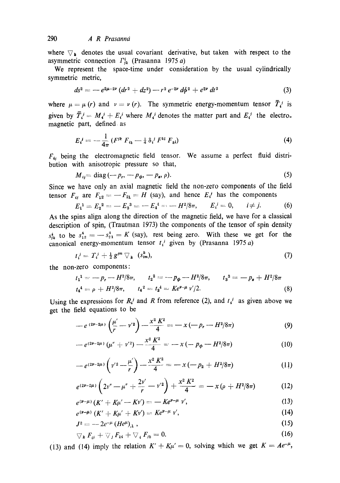where  $\nabla_{\mathbf{k}}$  denotes the usual covariant derivative, but taken with respect to the asymmetric connection  $\Gamma^i_{jk}$  (Prasanna 1975 a)

We represent the space-time under consideration by the usual cylindrically symmetric metric,

$$
ds^{2} = -e^{2\mu-2\nu}\left(dr^{2}+dz^{2}\right)-r^{2}e^{-2\nu}\,d\phi^{2}+e^{2\nu}\,dt^{2}
$$
 (3)

where  $\mu = \mu (r)$  and  $\nu = \nu (r)$ . The symmetric energy-momentum tensor  $\bar{T}^{j}_{i}$  is given by  $\overline{T}_i^j = M_i^j + E_i^j$  where  $M_i^j$  denotes the matter part and  $E_i^j$  the electro. magnetic part, defined as

$$
E_i^{\ j} = -\frac{1}{4\pi} \left( F^{ik} \ F_{ik} - \frac{1}{4} \ \delta_i^{\ j} \ F^{kl} \ F_{kl} \right) \tag{4}
$$

 $F_{ij}$  being the electromagnetic field tensor. We assume a perfect fluid distribution with anisotropic pressure so that,

$$
M_{ij} = \text{diag}\,(-p_r, -p_\phi, -p_\bullet, \rho). \tag{5}
$$

Since we have only an axial magnetic field the non-zero components of the field tensor  $F_{ij}$  are  $F_{12} = -F_{21} = H$  (say), and hence  $E_i^j$  has the components

$$
E_1^1 = E_2^2 = -E_3^3 = -E_4^4 = -H^2/8\pi, \qquad E_i^j = 0, \qquad i \neq j. \tag{6}
$$

As the spins align along the direction of the magnetic field, we have for a classical description of spin, (Trautman 1973) the components of the tensor of spin density  $s_{ik}^{i}$  to be  $s_{12}^{4} = -s_{21}^{4} = K$  (say), rest being zero. With these we get for the canonical energy-momentum tensor  $t_i$ <sup>j</sup> given by (Prasanna 1975 a)

$$
t_i^j = T_i^j + \frac{1}{2} g^{jm} \nabla_k \quad (s_{im}^k), \tag{7}
$$

the non-zero components:

$$
t_1^1 = -p_r - H^2/8\pi, \qquad t_2^2 = -p_\phi - H^2/8\pi, \qquad t_3^3 = -p_s + H^2/8\pi
$$
  

$$
t_4^4 = \rho + H^2/8\pi, \qquad t_4^2 = t_2^4 = Ke^{p-\mu} \nu'/2.
$$
 (8)

Using the expressions for  $R_i^j$  and R from reference (2), and  $t_i^j$  as given above we get the field equations to be

$$
-e^{(2\nu-2\mu)}\left(\frac{\mu'}{r}-\nu'^2\right)-\frac{x^2 K^2}{4}=-x\left(-p_r-H^2/8\pi\right) \tag{9}
$$

$$
-e^{(2\nu-2\mu)}(\mu'' + \nu'^2) - \frac{x^2 K^2}{4} = -x(-p_\phi - H^2/8\pi)
$$
 (10)

$$
-e^{(2\nu-2\mu)}\left(v'^2-\frac{\mu'}{r}\right)-\frac{x^2 K^2}{4}=-x\left(-p_2+H^2/8\pi\right) \tag{11}
$$

$$
e^{(2\nu-2\mu)}\left(2\nu''-\mu''+\frac{2\nu'}{r}-\nu'^2\right)+\frac{x^2K^2}{4}=-x\left(\rho+H^2/8\pi\right) \qquad (12)
$$

$$
e^{(\nu-\mu)}(K'+K\mu'-K\nu')=-Ke^{\nu-\mu}\nu',\qquad \qquad (13)
$$

$$
e^{(\nu-\mu)} (K' + K\mu' + K\nu') = Ke^{\nu-\mu} \nu', \qquad (14)
$$

$$
J^2 = -2e^{-\mu} (He^{\mu})_{,1} \tag{15}
$$

$$
\nabla_{\boldsymbol{k}} F_{\boldsymbol{i}j} + \nabla_{\boldsymbol{j}} F_{\boldsymbol{k}i} + \nabla_{\boldsymbol{i}} F_{\boldsymbol{j}k} = 0. \qquad (16)
$$

(13) and (14) imply the relation  $K' + K\mu' = 0$ , solving which we get  $K = Ae^{-\mu}$ ,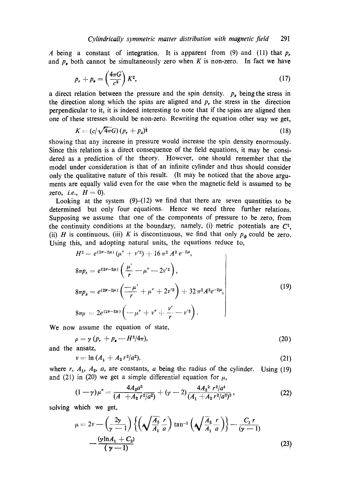A being a constant of integration. It is apparent from (9) and (11) that  $p_r$ and  $p_{\star}$  both cannot be simultaneously zero when K is non-zero. In fact we have

$$
p_r + p_s = \left(\frac{4\pi G}{c^2}\right) K^2,\tag{17}
$$

a direct relation between the pressure and the spin density.  $p_{\textit{s}}$  being the stress in the direction along which the spins are aligned and  $p$ , the stress in the direction perpendicular to it, it is indeed interesting to note that if the spins are aligned then one of these stresses should be non-zero. Rewriting the equation other way we get,

$$
K = (c/\sqrt{4\pi G})(p_r + p_z)^{\frac{1}{2}} \tag{18}
$$

showing that any increase in pressure would increase the spin density enormously. Since this relation is a direct consequence of the field equations, it may be considered as a prediction of the theory. However, one should remember that the model under consideration is that of an infinite cylinder and thus should consider 0nly the qualitative nature of this result. (It may be noticed that the above arguments are equally valid even for the case when the magnetic field is assumed to be zero, *i.e.*,  $H = 0$ ).

Looking at the system  $(9)$ - $(12)$  we find that there are seven quantities to be determined but only four equations. Hence we need three further relations. Supposing we assume that one of the components of pressure to be zero, from the continuity conditions at the boundary, namely, (i) metric potentials are  $C<sup>1</sup>$ , (ii) H is continuous, (iii) K is discontinuous, we find that only  $p_{\phi}$  could be zero. Using this, and adopting natural units, the equations reduce to,

$$
H^{2} = e^{(2\nu - 2\mu)} (\mu'' + \nu'^{2}) + 16 \pi^{2} A^{2} e^{-2\mu},
$$
  
\n
$$
8\pi p_{r} = e^{(2\nu - 2\mu)} (\frac{\mu'}{r} - \mu'' - 2\nu'^{2}),
$$
  
\n
$$
8\pi p_{z} = e^{(2\nu - 2\mu)} (\frac{-\mu'}{r} + \mu'' + 2\nu'^{2}) + 32 \pi^{2} A^{2} e^{-2\mu},
$$
  
\n
$$
8\pi \rho = 2e^{(2\nu - 2\mu)} (-\mu'' + \nu'' + \frac{\nu'}{r} - \nu'^{2}).
$$
\n(19)

We now assume the equation of state,

$$
\rho = \gamma (p_r + p_s - H^2/4\pi), \qquad (20)
$$

and the ansatz,

$$
v = \ln \left( A_1 + A_2 r^2 / a^2 \right), \tag{21}
$$

where r,  $A_1$ ,  $A_2$ , a, are constants, a being the radius of the cylinder. Using (19) and (21) in (20) we get a simple differential equation for  $\mu$ ,

$$
(1-\gamma)\mu'' = \frac{4A_2a^2}{(A+A_2r^2/a^2)} + (\gamma-2)\frac{4A_2^2\ r^2/a^4}{(A_1+A_2r^2/a^2)^2},\tag{22}
$$

solving which we get,

$$
\mu = 2\nu - \left(\frac{2\gamma}{\gamma - 1}\right) \left\{ \left(\sqrt{\frac{A_2}{A_1}} \frac{r}{a}\right) \tan^{-1} \left(\sqrt{\frac{A_2}{A_1}} \frac{r}{a}\right) \right\} - \frac{C_1 r}{(\gamma - 1)}
$$
\n
$$
- \frac{(\gamma \ln A_1 + C_2)}{(\gamma - 1)}
$$
\n(23)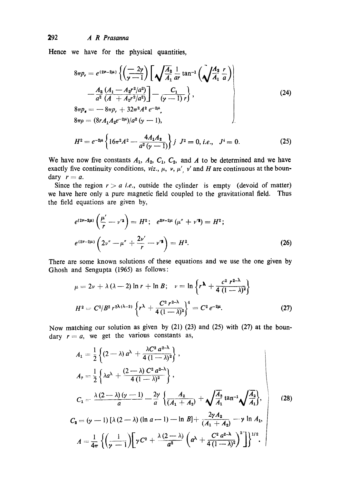## 292 *A R Prasanna*

Hence we have for the physical quantities,

$$
8\pi p_r = e^{(2\nu - 2\mu)} \left\{ \left( \frac{-2\gamma}{\gamma - 1} \right) \left[ \sqrt{\frac{A_2}{A_1}} \frac{1}{a r} \tan^{-1} \left( \sqrt{\frac{A_2}{A_1}} \frac{r}{a} \right) \right] - \frac{A_2}{a^2} \frac{(A_1 - A_2 r^2 / a^2)}{(A + A_2 r^2 / a^2)} \right\} - \frac{C_1}{(\gamma - 1) r},
$$
\n
$$
8\pi p_s = -8\pi p_r + 32\pi^2 A^2 e^{-2\mu},
$$
\n
$$
8\pi \rho = (8r A_1 A_2 e^{-2\mu}) / a^2 (\gamma - 1),
$$
\n
$$
H^2 = e^{-2\mu} \left\{ 16\pi^2 A^2 - \frac{4A_1 A_2}{a^2 (\gamma - 1)} \right\} j J^2 = 0, i.e., J^i = 0.
$$
\n(25)

We have now five constants  $A_1$ ,  $A_2$ ,  $C_1$ ,  $C_2$ , and A to be determined and we have exactly five continuity conditions, *viz.*,  $\mu$ ,  $\nu$ ,  $\mu'$ ,  $\nu'$  and H are continuous at the boundary  $r = a$ .

Since the region  $r > a$  *i.e.*, outside the cylinder is empty (devoid of matter) we have here only a pure magnetic field coupled to the gravitational field. Thus the field equations are given by,

$$
e^{(2\nu-2\mu)}\left(\frac{\mu'}{r}-\nu'^2\right)=H^2;\quad e^{2\nu-2\mu}\left(\mu''+\nu'^2\right)=H^2;
$$
  

$$
e^{(2\nu-2\mu)}\left(2\nu''-\mu''+\frac{2\nu'}{r}-\nu'^2\right)=H^2.
$$
 (26)

There are some known solutions of these equations and we use the one given by Ghosh and Sengupta (1965) as follows:

$$
\mu = 2\nu + \lambda (\lambda - 2) \ln r + \ln B; \quad \nu = \ln \left\{ r^{\lambda} + \frac{c^2 r^{2-\lambda}}{4 (1 - \lambda)^2} \right\}
$$

$$
H^2 = C^2/B^2 r^{2\lambda(\lambda - 2)} \left\{ r^{\lambda} + \frac{C^2 r^{2-\lambda}}{4 (1 - \lambda)^2} \right\}^4 = C^2 e^{-2\mu}.
$$
 (27)

Now matching our solution as given by (21) (23) and (25) with (27) at the boundary  $r = a$ , we get the various constants as,

$$
A_1 = \frac{1}{2} \left\{ (2-\lambda) a^{\lambda} + \frac{\lambda C^2 a^{2-\lambda}}{4 (1-\lambda)^2} \right\},
$$
  
\n
$$
A_2 = \frac{1}{2} \left\{ \lambda a^{\lambda} + \frac{(2-\lambda) C^2 a^{2-\lambda}}{4 (1-\lambda)^2} \right\},
$$
  
\n
$$
C_1 = \frac{\lambda (2-\lambda) (\gamma - 1)}{a} - \frac{2\gamma}{a} \left\{ \frac{A_2}{(A_1 + A_2)} + \sqrt{\frac{A_2}{A_1}} \tan^{-1} \sqrt{\frac{A_2}{A_1}} \right\},
$$
  
\n
$$
C_2 = (\gamma - 1) [\lambda (2-\lambda) (\ln a - 1) - \ln B] + \frac{2\gamma A_2}{(A_1 + A_2)} - \gamma \ln A_1,
$$
  
\n
$$
A = \frac{1}{4\pi} \left\{ \left( \frac{1}{\gamma - 1} \right) \left[ \gamma C^2 + \frac{\lambda (2-\lambda)}{a^2} \left( a^{\lambda} + \frac{C^2 a^{2-\lambda}}{4 (1-\lambda)^2} \right)^2 \right] \right\}^{1/2}.
$$
 (28)